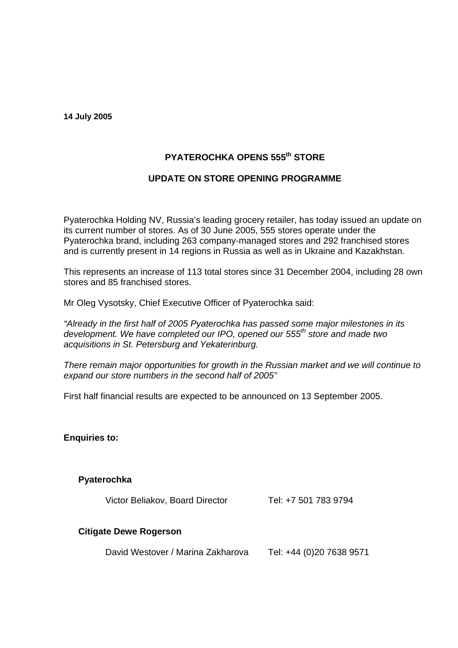**14 July 2005** 

# **PYATEROCHKA OPENS 555th STORE**

# **UPDATE ON STORE OPENING PROGRAMME**

Pyaterochka Holding NV, Russia's leading grocery retailer, has today issued an update on its current number of stores. As of 30 June 2005, 555 stores operate under the Pyaterochka brand, including 263 company-managed stores and 292 franchised stores and is currently present in 14 regions in Russia as well as in Ukraine and Kazakhstan.

This represents an increase of 113 total stores since 31 December 2004, including 28 own stores and 85 franchised stores.

Mr Oleg Vysotsky, Chief Executive Officer of Pyaterochka said:

*"Already in the first half of 2005 Pyaterochka has passed some major milestones in its development. We have completed our IPO, opened our 555th store and made two acquisitions in St. Petersburg and Yekaterinburg.*

*There remain major opportunities for growth in the Russian market and we will continue to expand our store numbers in the second half of 2005"*

First half financial results are expected to be announced on 13 September 2005.

**Enquiries to:**

## **Pyaterochka**

Victor Beliakov, Board Director

Tel: +7 501 783 9794

## **Citigate Dewe Rogerson**

 David Westover / Marina Zakharova Tel: +44 (0)20 7638 9571